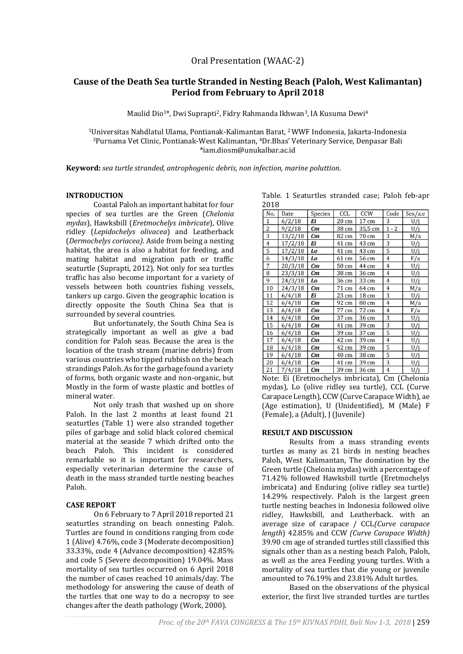# **Cause of the Death Sea turtle Stranded in Nesting Beach (Paloh, West Kalimantan) Period from February to April 2018**

Maulid Dio1\*, Dwi Suprapti2, Fidry Rahmanda Ikhwan3, IA Kusuma Dewi<sup>4</sup>

<sup>1</sup>Universitas Nahdlatul Ulama, Pontianak-Kalimantan Barat, 2 WWF Indonesia, Jakarta-Indonesia <sup>3</sup>Purnama Vet Clinic, Pontianak-West Kalimantan, 4Dr.Bhas' Veterinary Service, Denpasar Bali \*iam.diosm@unukalbar.ac.id

**Keyword:** *sea turtle stranded, antrophogenic debris, non infection, marine poluttion.*

#### **INTRODUCTION**

Coastal Paloh an important habitat for four species of sea turtles are the Green (*Chelonia mydas*), Hawksbill (*Eretmochelys imbricate*), Olive ridley (*Lepidochelys olivacea*) and Leatherback (*Dermochelys coriacea)*. Aside from being a nesting habitat, the area is also a habitat for feeding, and mating habitat and migration path or traffic seaturtle (Suprapti, 2012). Not only for sea turtles traffic has also become important for a variety of vessels between both countries fishing vessels, tankers up cargo. Given the geographic location is directly opposite the South China Sea that is surrounded by several countries.

But unfortunately, the South China Sea is strategically important as well as give a bad condition for Paloh seas. Because the area is the location of the trash stream (marine debris) from various countries who tipped rubbish on the beach strandings Paloh. As for the garbage found a variety of forms, both organic waste and non-organic, but Mostly in the form of waste plastic and bottles of mineral water.

Not only trash that washed up on shore Paloh. In the last 2 months at least found 21 seaturtles (Table 1) were also stranded together piles of garbage and solid black colored chemical material at the seaside 7 which drifted onto the beach Paloh. This incident is considered remarkable so it is important for researchers, especially veterinarian determine the cause of death in the mass stranded turtle nesting beaches Paloh.

### **CASE REPORT**

On 6 February to 7 April 2018 reported 21 seaturtles stranding on beach onnesting Paloh. Turtles are found in conditions ranging from code 1 (Alive) 4.76%, code 3 (Moderate decomposition) 33.33%, code 4 (Advance decomposition) 42.85% and code 5 (Severe decomposition) 19.04%. Mass mortality of sea turtles occurred on 6 April 2018 the number of cases reached 10 animals/day. The methodology for answering the cause of death of the turtles that one way to do a necropsy to see changes after the death pathology (Work, 2000).

|      | Table. 1 Seaturtles stranded case; Paloh feb-apr |  |  |
|------|--------------------------------------------------|--|--|
| 2018 |                                                  |  |  |

| --- |         |         |       |         |                |                |
|-----|---------|---------|-------|---------|----------------|----------------|
| No. | Date    | Species | CCL   | CCW     | Code           | Sex/a.e        |
| 1   | 6/2/18  | Ei      | 20 cm | 17 cm   | 3              | U/i            |
| 2   | 9/2/18  | Cm      | 38 cm | 35,5 cm | $1 - 2$        | U/i            |
| 3   | 13/2/18 | Сm      | 82 cm | 70 cm   | 3              | M/a            |
| 4   | 17/2/18 | Ei      | 41 cm | 43 cm   | 3              | U/j            |
| 5   | 17/2/18 | Lo      | 41 cm | 43 cm   | 5              | U/j            |
| 6   | 14/3/18 | Lo      | 61 cm | 56 cm   | 4              | F/a            |
| 7   | 20/3/18 | Сm      | 50 cm | 44 cm   | 4              | U/j            |
| 8   | 23/3/18 | Сm      | 38 cm | 36 cm   | $\overline{4}$ | U/j            |
| 9   | 24/3/18 | Lo      | 36 cm | 33 cm   | 4              | U/i            |
| 10  | 24/3/18 | Сm      | 71 cm | 64 cm   | 4              | M/a            |
| 11  | 6/4/18  | Ei      | 23 cm | 18 cm   | 3              | $U/\mathrm{j}$ |
| 12  | 6/4/18  | Сm      | 92 cm | 80 cm   | 4              | M/a            |
| 13  | 6/4/18  | Сm      | 77 cm | 72 cm   | 4              | F/a            |
| 14  | 6/4/18  | Cm      | 37 cm | 36 cm   | 3              | U/j            |
| 15  | 6/4/18  | Сm      | 41 cm | 39 cm   | 3              | U/j            |
| 16  | 6/4/18  | Сm      | 39 cm | 37 cm   | 5              | U/i            |
| 17  | 6/4/18  | Сm      | 42 cm | 39 cm   | 4              | U/j            |
| 18  | 6/4/18  | Сm      | 42 cm | 39 cm   | 5              | U/j            |
| 19  | 6/4/18  | Сm      | 40 cm | 38 cm   | 5              | U/j            |
| 20  | 6/4/18  | Сm      | 41 cm | 39 cm   | 3              | U/j            |
| 21  | 7/4/18  | Сm      | 39 cm | 36 cm   | $\overline{4}$ | U/i            |

Note: Ei (Eretmochelys imbricata), Cm (Chelonia mydas), Lo (olive ridley sea turtle), CCL (Curve Carapace Length), CCW (Curve Carapace Width), ae (Age estimation), U (Unidentified), M (Male) F (Female), a (Adult), J (Juvenile)

### **RESULT AND DISCUSSION**

Results from a mass stranding events turtles as many as 21 birds in nesting beaches Paloh, West Kalimantan, The domination by the Green turtle (Chelonia mydas) with a percentage of 71.42% followed Hawksbill turtle (Eretmochelys imbricata) and Enduring (olive ridley sea turtle) 14.29% respectively. Paloh is the largest green turtle nesting beaches in Indonesia followed olive ridley, Hawksbill, and Leatherback. with an average size of carapace / CCL*(Curve carapace length*) 42.85% and CCW *(Curve Carapace Width)*  39.90 cm age of stranded turtles still classified this signals other than as a nesting beach Paloh, Paloh, as well as the area Feeding young turtles. With a mortality of sea turtles that die young or juvenile amounted to 76.19% and 23.81% Adult turtles.

Based on the observations of the physical exterior, the first live stranded turtles are turtles